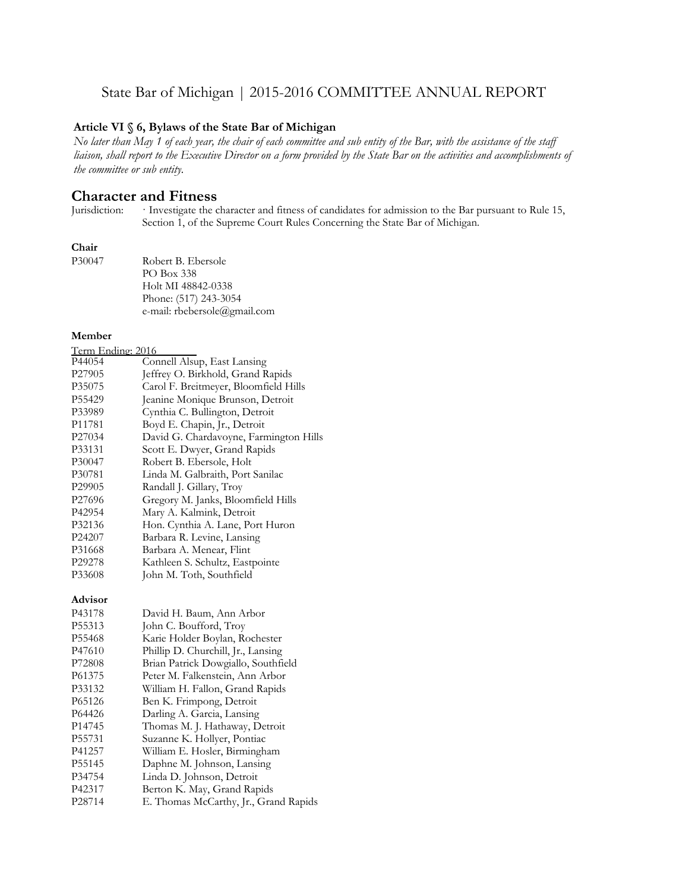# State Bar of Michigan | 2015-2016 COMMITTEE ANNUAL REPORT

#### **Article VI § 6, Bylaws of the State Bar of Michigan**

*No later than May 1 of each year, the chair of each committee and sub entity of the Bar, with the assistance of the staff liaison, shall report to the Executive Director on a form provided by the State Bar on the activities and accomplishments of the committee or sub entity.*

# **Character and Fitness**<br>Jurisdiction: Investigate the c

Investigate the character and fitness of candidates for admission to the Bar pursuant to Rule 15, Section 1, of the Supreme Court Rules Concerning the State Bar of Michigan.

#### **Chair**

| P30047 | Robert B. Ebersole           |
|--------|------------------------------|
|        | PO Box 338                   |
|        | Holt MI 48842-0338           |
|        | Phone: (517) 243-3054        |
|        | e-mail: rbebersole@gmail.com |

#### **Member**

| Term Ending: 2016  |                                        |
|--------------------|----------------------------------------|
| P44054             | Connell Alsup, East Lansing            |
| P <sub>27905</sub> | Jeffrey O. Birkhold, Grand Rapids      |
| P35075             | Carol F. Breitmeyer, Bloomfield Hills  |
| P <sub>55429</sub> | Jeanine Monique Brunson, Detroit       |
| P33989             | Cynthia C. Bullington, Detroit         |
| P11781             | Boyd E. Chapin, Jr., Detroit           |
| P27034             | David G. Chardavoyne, Farmington Hills |
| P33131             | Scott E. Dwyer, Grand Rapids           |
| P30047             | Robert B. Ebersole, Holt               |
| P30781             | Linda M. Galbraith, Port Sanilac       |
| P29905             | Randall J. Gillary, Troy               |
| P <sub>27696</sub> | Gregory M. Janks, Bloomfield Hills     |
| P42954             | Mary A. Kalmink, Detroit               |
| P32136             | Hon. Cynthia A. Lane, Port Huron       |
| P <sub>24207</sub> | Barbara R. Levine, Lansing             |
| P31668             | Barbara A. Menear, Flint               |
| P29278             | Kathleen S. Schultz, Eastpointe        |
| P33608             | John M. Toth, Southfield               |

#### **Advisor**

| P43178             | David H. Baum, Ann Arbor              |
|--------------------|---------------------------------------|
| P55313             | John C. Boufford, Troy                |
| P55468             | Karie Holder Boylan, Rochester        |
| P47610             | Phillip D. Churchill, Jr., Lansing    |
| P72808             | Brian Patrick Dowgiallo, Southfield   |
| P61375             | Peter M. Falkenstein, Ann Arbor       |
| P33132             | William H. Fallon, Grand Rapids       |
| P65126             | Ben K. Frimpong, Detroit              |
| P64426             | Darling A. Garcia, Lansing            |
| P <sub>14745</sub> | Thomas M. J. Hathaway, Detroit        |
| P <sub>55731</sub> | Suzanne K. Hollyer, Pontiac           |
| P41257             | William E. Hosler, Birmingham         |
| P55145             | Daphne M. Johnson, Lansing            |
| P34754             | Linda D. Johnson, Detroit             |
| P42317             | Berton K. May, Grand Rapids           |
| P28714             | E. Thomas McCarthy, Jr., Grand Rapids |
|                    |                                       |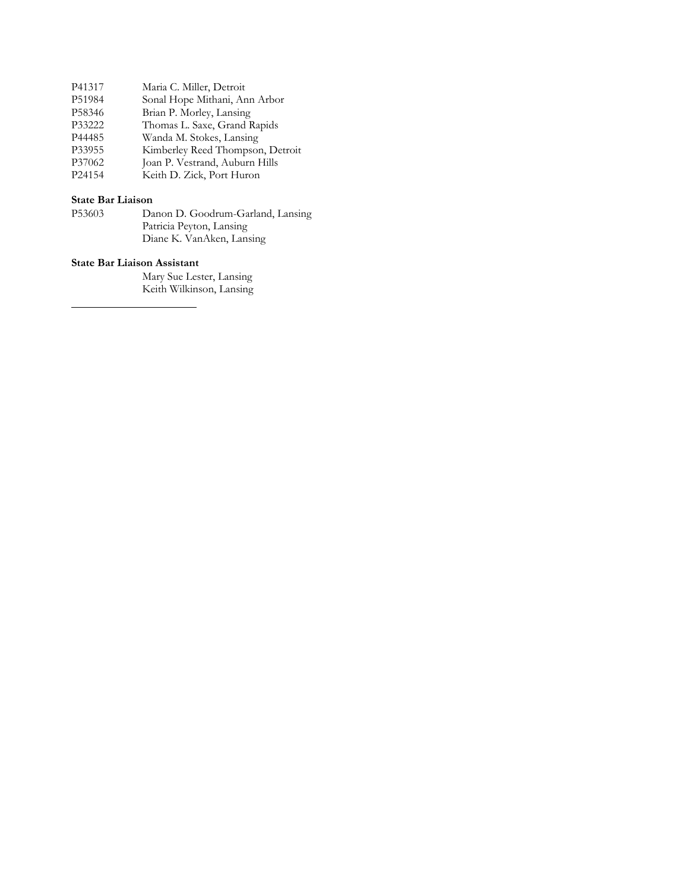| P41317 | Maria C. Miller, Detroit         |
|--------|----------------------------------|
| P51984 | Sonal Hope Mithani, Ann Arbor    |
| P58346 | Brian P. Morley, Lansing         |
| P33222 | Thomas L. Saxe, Grand Rapids     |
| P44485 | Wanda M. Stokes, Lansing         |
| P33955 | Kimberley Reed Thompson, Detroit |
| P37062 | Joan P. Vestrand, Auburn Hills   |
| P24154 | Keith D. Zick, Port Huron        |

#### **State Bar Liaison**

| P53603 | Danon D. Goodrum-Garland, Lansing |
|--------|-----------------------------------|
|        | Patricia Peyton, Lansing          |
|        | Diane K. VanAken, Lansing         |

#### **State Bar Liaison Assistant**

Mary Sue Lester, Lansing Keith Wilkinson, Lansing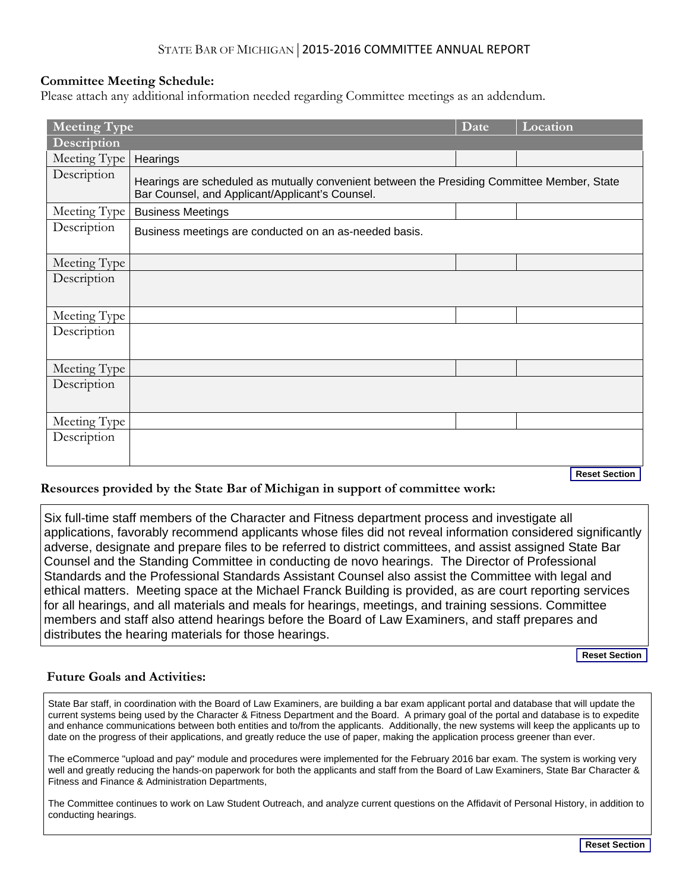## STATE BAR OF MICHIGAN|2015-2016 COMMITTEE ANNUAL REPORT

## **Committee Meeting Schedule:**

Please attach any additional information needed regarding Committee meetings as an addendum.

| Location<br><b>Meeting Type</b><br><b>Date</b> |                                                                                                                                                |  |                      |  |
|------------------------------------------------|------------------------------------------------------------------------------------------------------------------------------------------------|--|----------------------|--|
| Description                                    |                                                                                                                                                |  |                      |  |
| Meeting Type                                   | Hearings                                                                                                                                       |  |                      |  |
| Description                                    | Hearings are scheduled as mutually convenient between the Presiding Committee Member, State<br>Bar Counsel, and Applicant/Applicant's Counsel. |  |                      |  |
| Meeting Type                                   | <b>Business Meetings</b>                                                                                                                       |  |                      |  |
| Description                                    | Business meetings are conducted on an as-needed basis.                                                                                         |  |                      |  |
| Meeting Type                                   |                                                                                                                                                |  |                      |  |
| Description                                    |                                                                                                                                                |  |                      |  |
| Meeting Type                                   |                                                                                                                                                |  |                      |  |
| Description                                    |                                                                                                                                                |  |                      |  |
| Meeting Type                                   |                                                                                                                                                |  |                      |  |
| Description                                    |                                                                                                                                                |  |                      |  |
| Meeting Type                                   |                                                                                                                                                |  |                      |  |
| Description                                    |                                                                                                                                                |  |                      |  |
|                                                |                                                                                                                                                |  | <b>Reset Section</b> |  |

## **Resources provided by the State Bar of Michigan in support of committee work:**

Six full-time staff members of the Character and Fitness department process and investigate all applications, favorably recommend applicants whose files did not reveal information considered significantly adverse, designate and prepare files to be referred to district committees, and assist assigned State Bar Counsel and the Standing Committee in conducting de novo hearings. The Director of Professional Standards and the Professional Standards Assistant Counsel also assist the Committee with legal and ethical matters. Meeting space at the Michael Franck Building is provided, as are court reporting services for all hearings, and all materials and meals for hearings, meetings, and training sessions. Committee members and staff also attend hearings before the Board of Law Examiners, and staff prepares and distributes the hearing materials for those hearings.

**Reset Section**

## **Future Goals and Activities:**

State Bar staff, in coordination with the Board of Law Examiners, are building a bar exam applicant portal and database that will update the current systems being used by the Character & Fitness Department and the Board. A primary goal of the portal and database is to expedite and enhance communications between both entities and to/from the applicants. Additionally, the new systems will keep the applicants up to date on the progress of their applications, and greatly reduce the use of paper, making the application process greener than ever.

The eCommerce "upload and pay" module and procedures were implemented for the February 2016 bar exam. The system is working very well and greatly reducing the hands-on paperwork for both the applicants and staff from the Board of Law Examiners, State Bar Character & Fitness and Finance & Administration Departments,

The Committee continues to work on Law Student Outreach, and analyze current questions on the Affidavit of Personal History, in addition to conducting hearings.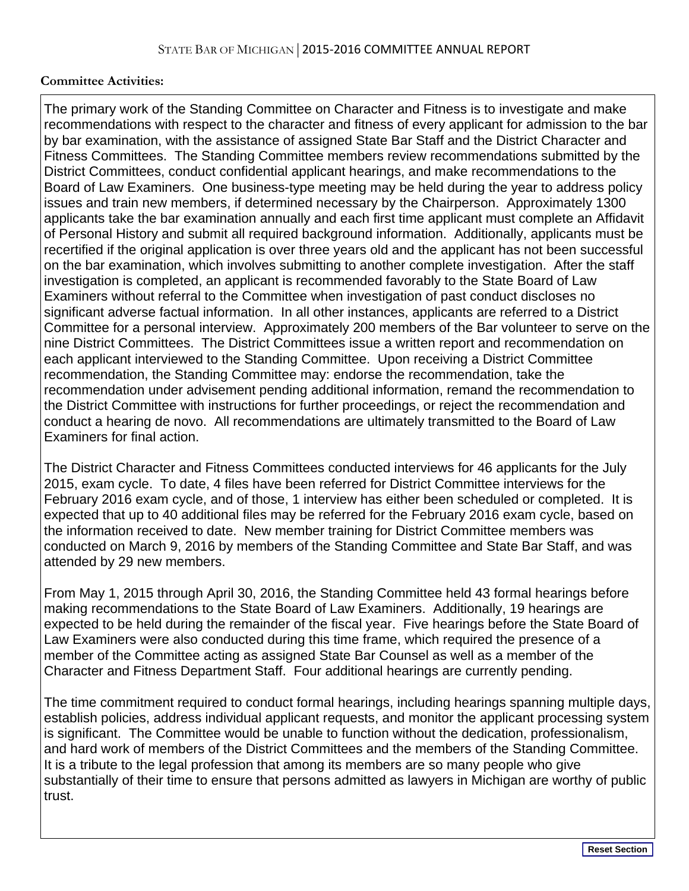## **Committee Activities:**

The primary work of the Standing Committee on Character and Fitness is to investigate and make recommendations with respect to the character and fitness of every applicant for admission to the bar by bar examination, with the assistance of assigned State Bar Staff and the District Character and Fitness Committees. The Standing Committee members review recommendations submitted by the District Committees, conduct confidential applicant hearings, and make recommendations to the Board of Law Examiners. One business-type meeting may be held during the year to address policy issues and train new members, if determined necessary by the Chairperson. Approximately 1300 applicants take the bar examination annually and each first time applicant must complete an Affidavit of Personal History and submit all required background information. Additionally, applicants must be recertified if the original application is over three years old and the applicant has not been successful on the bar examination, which involves submitting to another complete investigation. After the staff investigation is completed, an applicant is recommended favorably to the State Board of Law Examiners without referral to the Committee when investigation of past conduct discloses no significant adverse factual information. In all other instances, applicants are referred to a District Committee for a personal interview. Approximately 200 members of the Bar volunteer to serve on the nine District Committees. The District Committees issue a written report and recommendation on each applicant interviewed to the Standing Committee. Upon receiving a District Committee recommendation, the Standing Committee may: endorse the recommendation, take the recommendation under advisement pending additional information, remand the recommendation to the District Committee with instructions for further proceedings, or reject the recommendation and conduct a hearing de novo. All recommendations are ultimately transmitted to the Board of Law Examiners for final action.

The District Character and Fitness Committees conducted interviews for 46 applicants for the July 2015, exam cycle. To date, 4 files have been referred for District Committee interviews for the February 2016 exam cycle, and of those, 1 interview has either been scheduled or completed. It is expected that up to 40 additional files may be referred for the February 2016 exam cycle, based on the information received to date. New member training for District Committee members was conducted on March 9, 2016 by members of the Standing Committee and State Bar Staff, and was attended by 29 new members.

From May 1, 2015 through April 30, 2016, the Standing Committee held 43 formal hearings before making recommendations to the State Board of Law Examiners. Additionally, 19 hearings are expected to be held during the remainder of the fiscal year. Five hearings before the State Board of Law Examiners were also conducted during this time frame, which required the presence of a member of the Committee acting as assigned State Bar Counsel as well as a member of the Character and Fitness Department Staff. Four additional hearings are currently pending.

The time commitment required to conduct formal hearings, including hearings spanning multiple days, establish policies, address individual applicant requests, and monitor the applicant processing system is significant. The Committee would be unable to function without the dedication, professionalism, and hard work of members of the District Committees and the members of the Standing Committee. It is a tribute to the legal profession that among its members are so many people who give substantially of their time to ensure that persons admitted as lawyers in Michigan are worthy of public trust.